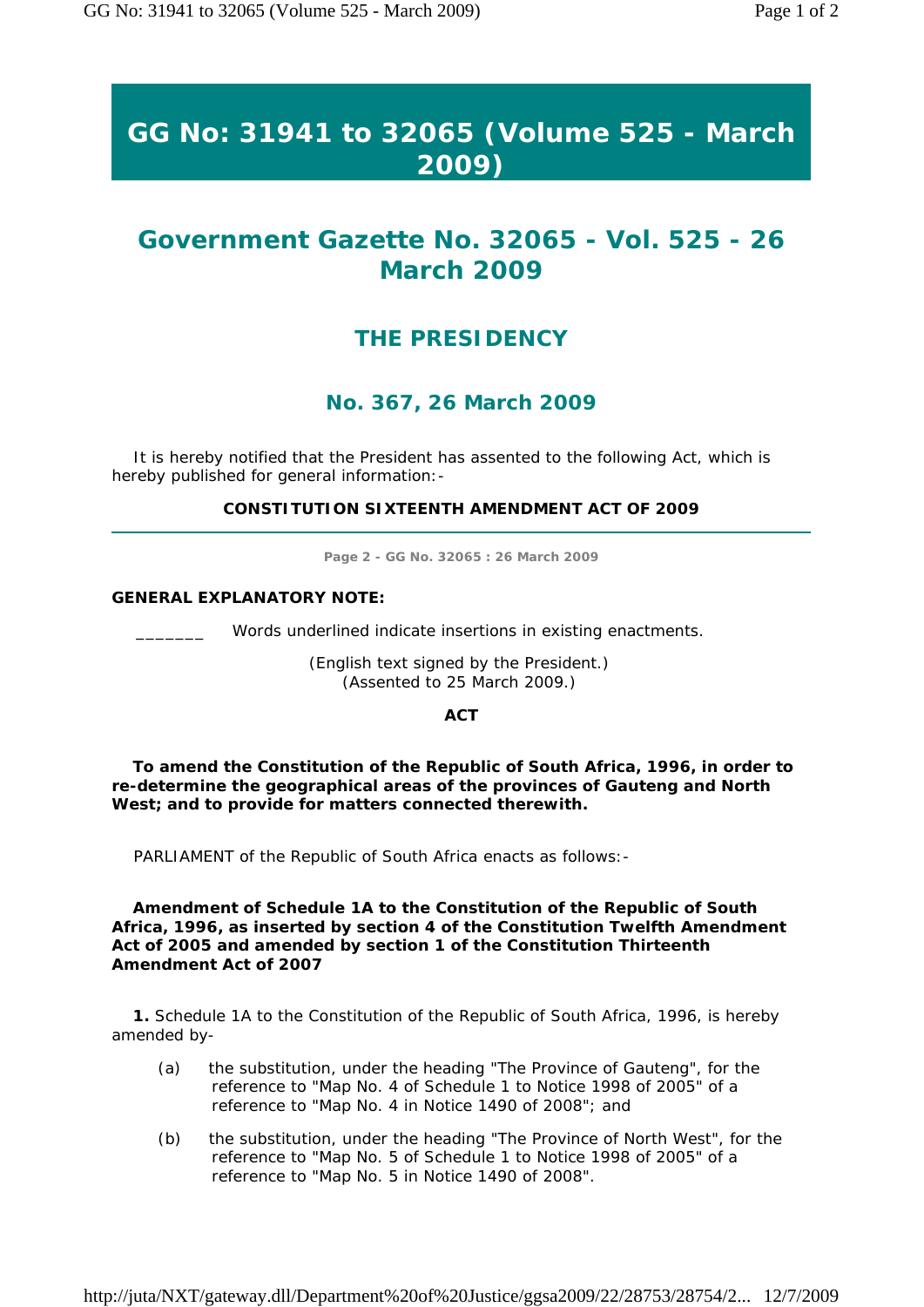# **GG No: 31941 to 32065 (Volume 525 - March 2009)**

## **Government Gazette No. 32065 - Vol. 525 - 26 March 2009**

## **THE PRESIDENCY**

### **No. 367, 26 March 2009**

 It is hereby notified that the President has assented to the following Act, which is hereby published for general information:-

**CONSTITUTION SIXTEENTH AMENDMENT ACT OF 2009** 

**Page 2 - GG No. 32065 : 26 March 2009** 

#### **GENERAL EXPLANATORY NOTE:**

Words underlined indicate insertions in existing enactments.

*(English text signed by the President.) (Assented to 25 March 2009.)* 

**ACT** 

 **To amend the Constitution of the Republic of South Africa, 1996, in order to re-determine the geographical areas of the provinces of Gauteng and North West; and to provide for matters connected therewith.** 

PARLIAMENT of the Republic of South Africa enacts as follows:-

 **Amendment of Schedule 1A to the Constitution of the Republic of South Africa, 1996, as inserted by section 4 of the Constitution Twelfth Amendment Act of 2005 and amended by section 1 of the Constitution Thirteenth Amendment Act of 2007** 

 **1.** Schedule 1A to the Constitution of the Republic of South Africa, 1996, is hereby amended by-

- (a) the substitution, under the heading "The Province of Gauteng", for the reference to "Map No. 4 of Schedule 1 to Notice 1998 of 2005" of a reference to "Map No. 4 in Notice 1490 of 2008"; and
- (b) the substitution, under the heading "The Province of North West", for the reference to "Map No. 5 of Schedule 1 to Notice 1998 of 2005" of a reference to "Map No. 5 in Notice 1490 of 2008".